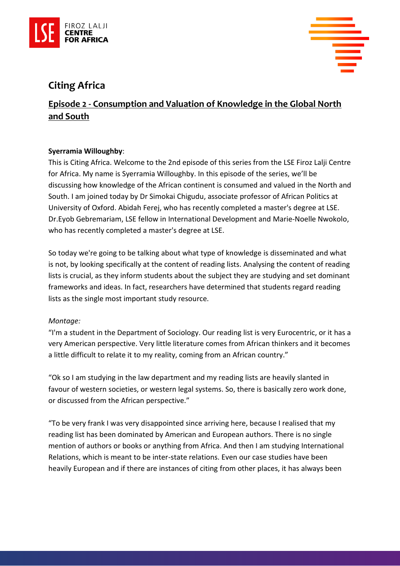



# **Citing Africa**

## **Episode 2 - Consumption and Valuation of Knowledge in the Global North and South**

### **Syerramia Willoughby**:

This is Citing Africa. Welcome to the 2nd episode of this series from the LSE Firoz Lalji Centre for Africa. My name is Syerramia Willoughby. In this episode of the series, we'll be discussing how knowledge of the African continent is consumed and valued in the North and South. I am joined today by Dr Simokai Chigudu, associate professor of African Politics at University of Oxford. Abidah Ferej, who has recently completed a master's degree at LSE. Dr.Eyob Gebremariam, LSE fellow in International Development and Marie-Noelle Nwokolo, who has recently completed a master's degree at LSE.

So today we're going to be talking about what type of knowledge is disseminated and what is not, by looking specifically at the content of reading lists. Analysing the content of reading lists is crucial, as they inform students about the subject they are studying and set dominant frameworks and ideas. In fact, researchers have determined that students regard reading lists as the single most important study resource.

#### *Montage:*

"I'm a student in the Department of Sociology. Our reading list is very Eurocentric, or it has a very American perspective. Very little literature comes from African thinkers and it becomes a little difficult to relate it to my reality, coming from an African country."

"Ok so I am studying in the law department and my reading lists are heavily slanted in favour of western societies, or western legal systems. So, there is basically zero work done, or discussed from the African perspective."

"To be very frank I was very disappointed since arriving here, because I realised that my reading list has been dominated by American and European authors. There is no single mention of authors or books or anything from Africa. And then I am studying International Relations, which is meant to be inter-state relations. Even our case studies have been heavily European and if there are instances of citing from other places, it has always been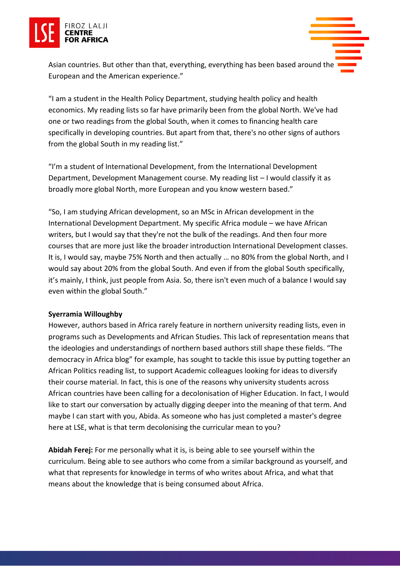

Asian countries. But other than that, everything, everything has been based around the European and the American experience."

"I am a student in the Health Policy Department, studying health policy and health economics. My reading lists so far have primarily been from the global North. We've had one or two readings from the global South, when it comes to financing health care specifically in developing countries. But apart from that, there's no other signs of authors from the global South in my reading list."

"I'm a student of International Development, from the International Development Department, Development Management course. My reading list – I would classify it as broadly more global North, more European and you know western based."

"So, I am studying African development, so an MSc in African development in the International Development Department. My specific Africa module – we have African writers, but I would say that they're not the bulk of the readings. And then four more courses that are more just like the broader introduction International Development classes. It is, I would say, maybe 75% North and then actually … no 80% from the global North, and I would say about 20% from the global South. And even if from the global South specifically, it's mainly, I think, just people from Asia. So, there isn't even much of a balance I would say even within the global South."

#### **Syerramia Willoughby**

However, authors based in Africa rarely feature in northern university reading lists, even in programs such as Developments and African Studies. This lack of representation means that the ideologies and understandings of northern based authors still shape these fields. "The democracy in Africa blog" for example, has sought to tackle this issue by putting together an African Politics reading list, to support Academic colleagues looking for ideas to diversify their course material. In fact, this is one of the reasons why university students across African countries have been calling for a decolonisation of Higher Education. In fact, I would like to start our conversation by actually digging deeper into the meaning of that term. And maybe I can start with you, Abida. As someone who has just completed a master's degree here at LSE, what is that term decolonising the curricular mean to you?

**Abidah Ferej:** For me personally what it is, is being able to see yourself within the curriculum. Being able to see authors who come from a similar background as yourself, and what that represents for knowledge in terms of who writes about Africa, and what that means about the knowledge that is being consumed about Africa.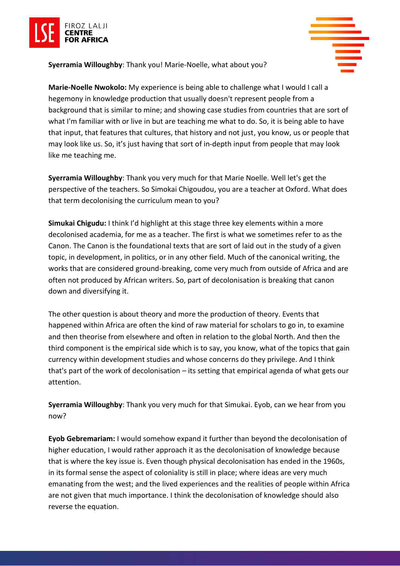

**Syerramia Willoughby**: Thank you! Marie-Noelle, what about you?



**Marie-Noelle Nwokolo:** My experience is being able to challenge what I would I call a hegemony in knowledge production that usually doesn't represent people from a background that is similar to mine; and showing case studies from countries that are sort of what I'm familiar with or live in but are teaching me what to do. So, it is being able to have that input, that features that cultures, that history and not just, you know, us or people that may look like us. So, it's just having that sort of in-depth input from people that may look like me teaching me.

**Syerramia Willoughby**: Thank you very much for that Marie Noelle. Well let's get the perspective of the teachers. So Simokai Chigoudou, you are a teacher at Oxford. What does that term decolonising the curriculum mean to you?

**Simukai Chigudu:** I think I'd highlight at this stage three key elements within a more decolonised academia, for me as a teacher. The first is what we sometimes refer to as the Canon. The Canon is the foundational texts that are sort of laid out in the study of a given topic, in development, in politics, or in any other field. Much of the canonical writing, the works that are considered ground-breaking, come very much from outside of Africa and are often not produced by African writers. So, part of decolonisation is breaking that canon down and diversifying it.

The other question is about theory and more the production of theory. Events that happened within Africa are often the kind of raw material for scholars to go in, to examine and then theorise from elsewhere and often in relation to the global North. And then the third component is the empirical side which is to say, you know, what of the topics that gain currency within development studies and whose concerns do they privilege. And I think that's part of the work of decolonisation – its setting that empirical agenda of what gets our attention.

**Syerramia Willoughby**: Thank you very much for that Simukai. Eyob, can we hear from you now?

**Eyob Gebremariam:** I would somehow expand it further than beyond the decolonisation of higher education, I would rather approach it as the decolonisation of knowledge because that is where the key issue is. Even though physical decolonisation has ended in the 1960s, in its formal sense the aspect of coloniality is still in place; where ideas are very much emanating from the west; and the lived experiences and the realities of people within Africa are not given that much importance. I think the decolonisation of knowledge should also reverse the equation.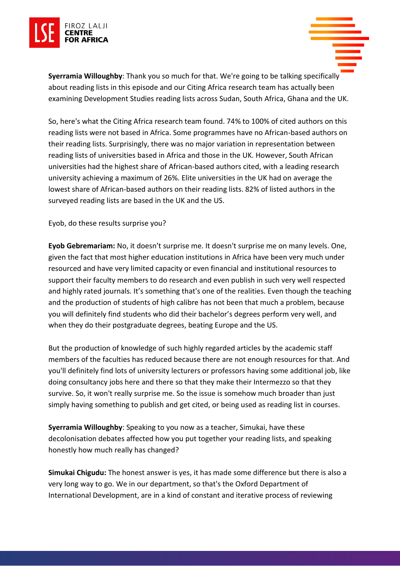

**Syerramia Willoughby**: Thank you so much for that. We're going to be talking specifically about reading lists in this episode and our Citing Africa research team has actually been examining Development Studies reading lists across Sudan, South Africa, Ghana and the UK.

So, here's what the Citing Africa research team found. 74% to 100% of cited authors on this reading lists were not based in Africa. Some programmes have no African-based authors on their reading lists. Surprisingly, there was no major variation in representation between reading lists of universities based in Africa and those in the UK. However, South African universities had the highest share of African-based authors cited, with a leading research university achieving a maximum of 26%. Elite universities in the UK had on average the lowest share of African-based authors on their reading lists. 82% of listed authors in the surveyed reading lists are based in the UK and the US.

Eyob, do these results surprise you?

**Eyob Gebremariam:** No, it doesn't surprise me. It doesn't surprise me on many levels. One, given the fact that most higher education institutions in Africa have been very much under resourced and have very limited capacity or even financial and institutional resources to support their faculty members to do research and even publish in such very well respected and highly rated journals. It's something that's one of the realities. Even though the teaching and the production of students of high calibre has not been that much a problem, because you will definitely find students who did their bachelor's degrees perform very well, and when they do their postgraduate degrees, beating Europe and the US.

But the production of knowledge of such highly regarded articles by the academic staff members of the faculties has reduced because there are not enough resources for that. And you'll definitely find lots of university lecturers or professors having some additional job, like doing consultancy jobs here and there so that they make their Intermezzo so that they survive. So, it won't really surprise me. So the issue is somehow much broader than just simply having something to publish and get cited, or being used as reading list in courses.

**Syerramia Willoughby**: Speaking to you now as a teacher, Simukai, have these decolonisation debates affected how you put together your reading lists, and speaking honestly how much really has changed?

**Simukai Chigudu:** The honest answer is yes, it has made some difference but there is also a very long way to go. We in our department, so that's the Oxford Department of International Development, are in a kind of constant and iterative process of reviewing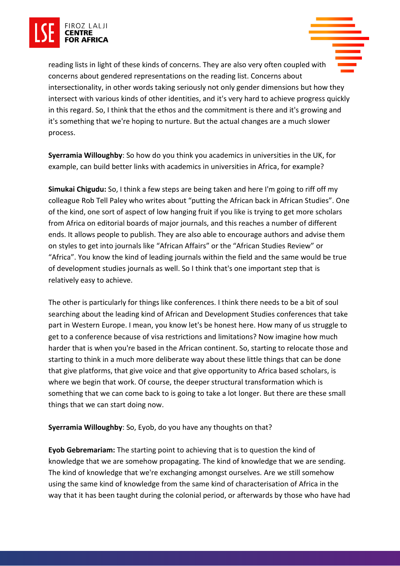



reading lists in light of these kinds of concerns. They are also very often coupled with concerns about gendered representations on the reading list. Concerns about intersectionality, in other words taking seriously not only gender dimensions but how they intersect with various kinds of other identities, and it's very hard to achieve progress quickly in this regard. So, I think that the ethos and the commitment is there and it's growing and it's something that we're hoping to nurture. But the actual changes are a much slower process.

**Syerramia Willoughby**: So how do you think you academics in universities in the UK, for example, can build better links with academics in universities in Africa, for example?

**Simukai Chigudu:** So, I think a few steps are being taken and here I'm going to riff off my colleague Rob Tell Paley who writes about "putting the African back in African Studies". One of the kind, one sort of aspect of low hanging fruit if you like is trying to get more scholars from Africa on editorial boards of major journals, and this reaches a number of different ends. It allows people to publish. They are also able to encourage authors and advise them on styles to get into journals like "African Affairs" or the "African Studies Review" or "Africa". You know the kind of leading journals within the field and the same would be true of development studies journals as well. So I think that's one important step that is relatively easy to achieve.

The other is particularly for things like conferences. I think there needs to be a bit of soul searching about the leading kind of African and Development Studies conferences that take part in Western Europe. I mean, you know let's be honest here. How many of us struggle to get to a conference because of visa restrictions and limitations? Now imagine how much harder that is when you're based in the African continent. So, starting to relocate those and starting to think in a much more deliberate way about these little things that can be done that give platforms, that give voice and that give opportunity to Africa based scholars, is where we begin that work. Of course, the deeper structural transformation which is something that we can come back to is going to take a lot longer. But there are these small things that we can start doing now.

#### **Syerramia Willoughby**: So, Eyob, do you have any thoughts on that?

**Eyob Gebremariam:** The starting point to achieving that is to question the kind of knowledge that we are somehow propagating. The kind of knowledge that we are sending. The kind of knowledge that we're exchanging amongst ourselves. Are we still somehow using the same kind of knowledge from the same kind of characterisation of Africa in the way that it has been taught during the colonial period, or afterwards by those who have had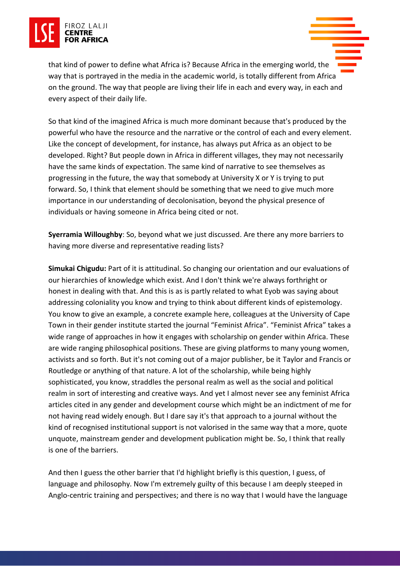

that kind of power to define what Africa is? Because Africa in the emerging world, the way that is portrayed in the media in the academic world, is totally different from Africa on the ground. The way that people are living their life in each and every way, in each and every aspect of their daily life.

So that kind of the imagined Africa is much more dominant because that's produced by the powerful who have the resource and the narrative or the control of each and every element. Like the concept of development, for instance, has always put Africa as an object to be developed. Right? But people down in Africa in different villages, they may not necessarily have the same kinds of expectation. The same kind of narrative to see themselves as progressing in the future, the way that somebody at University X or Y is trying to put forward. So, I think that element should be something that we need to give much more importance in our understanding of decolonisation, beyond the physical presence of individuals or having someone in Africa being cited or not.

**Syerramia Willoughby**: So, beyond what we just discussed. Are there any more barriers to having more diverse and representative reading lists?

**Simukai Chigudu:** Part of it is attitudinal. So changing our orientation and our evaluations of our hierarchies of knowledge which exist. And I don't think we're always forthright or honest in dealing with that. And this is as is partly related to what Eyob was saying about addressing coloniality you know and trying to think about different kinds of epistemology. You know to give an example, a concrete example here, colleagues at the University of Cape Town in their gender institute started the journal "Feminist Africa". "Feminist Africa" takes a wide range of approaches in how it engages with scholarship on gender within Africa. These are wide ranging philosophical positions. These are giving platforms to many young women, activists and so forth. But it's not coming out of a major publisher, be it Taylor and Francis or Routledge or anything of that nature. A lot of the scholarship, while being highly sophisticated, you know, straddles the personal realm as well as the social and political realm in sort of interesting and creative ways. And yet I almost never see any feminist Africa articles cited in any gender and development course which might be an indictment of me for not having read widely enough. But I dare say it's that approach to a journal without the kind of recognised institutional support is not valorised in the same way that a more, quote unquote, mainstream gender and development publication might be. So, I think that really is one of the barriers.

And then I guess the other barrier that I'd highlight briefly is this question, I guess, of language and philosophy. Now I'm extremely guilty of this because I am deeply steeped in Anglo-centric training and perspectives; and there is no way that I would have the language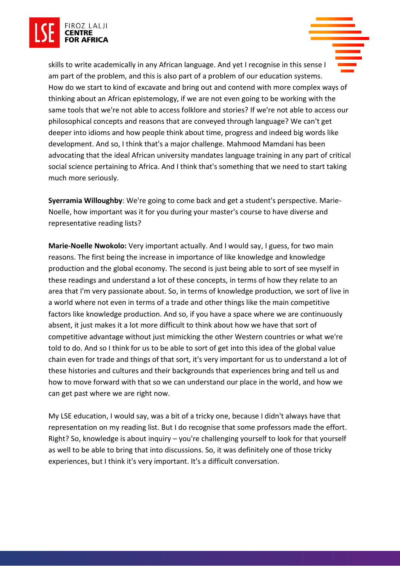

skills to write academically in any African language. And yet I recognise in this sense I am part of the problem, and this is also part of a problem of our education systems. How do we start to kind of excavate and bring out and contend with more complex ways of thinking about an African epistemology, if we are not even going to be working with the same tools that we're not able to access folklore and stories? If we're not able to access our philosophical concepts and reasons that are conveyed through language? We can't get deeper into idioms and how people think about time, progress and indeed big words like development. And so, I think that's a major challenge. Mahmood Mamdani has been advocating that the ideal African university mandates language training in any part of critical social science pertaining to Africa. And I think that's something that we need to start taking much more seriously.

**Syerramia Willoughby**: We're going to come back and get a student's perspective. Marie-Noelle, how important was it for you during your master's course to have diverse and representative reading lists?

**Marie-Noelle Nwokolo:** Very important actually. And I would say, I guess, for two main reasons. The first being the increase in importance of like knowledge and knowledge production and the global economy. The second is just being able to sort of see myself in these readings and understand a lot of these concepts, in terms of how they relate to an area that I'm very passionate about. So, in terms of knowledge production, we sort of live in a world where not even in terms of a trade and other things like the main competitive factors like knowledge production. And so, if you have a space where we are continuously absent, it just makes it a lot more difficult to think about how we have that sort of competitive advantage without just mimicking the other Western countries or what we're told to do. And so I think for us to be able to sort of get into this idea of the global value chain even for trade and things of that sort, it's very important for us to understand a lot of these histories and cultures and their backgrounds that experiences bring and tell us and how to move forward with that so we can understand our place in the world, and how we can get past where we are right now.

My LSE education, I would say, was a bit of a tricky one, because I didn't always have that representation on my reading list. But I do recognise that some professors made the effort. Right? So, knowledge is about inquiry – you're challenging yourself to look for that yourself as well to be able to bring that into discussions. So, it was definitely one of those tricky experiences, but I think it's very important. It's a difficult conversation.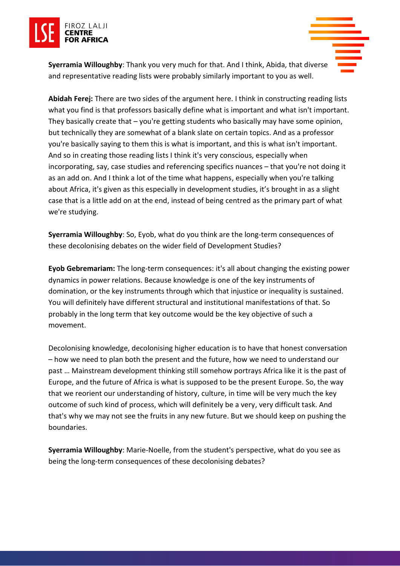



**Syerramia Willoughby**: Thank you very much for that. And I think, Abida, that diverse and representative reading lists were probably similarly important to you as well.

**Abidah Ferej:** There are two sides of the argument here. I think in constructing reading lists what you find is that professors basically define what is important and what isn't important. They basically create that – you're getting students who basically may have some opinion, but technically they are somewhat of a blank slate on certain topics. And as a professor you're basically saying to them this is what is important, and this is what isn't important. And so in creating those reading lists I think it's very conscious, especially when incorporating, say, case studies and referencing specifics nuances – that you're not doing it as an add on. And I think a lot of the time what happens, especially when you're talking about Africa, it's given as this especially in development studies, it's brought in as a slight case that is a little add on at the end, instead of being centred as the primary part of what we're studying.

**Syerramia Willoughby**: So, Eyob, what do you think are the long-term consequences of these decolonising debates on the wider field of Development Studies?

**Eyob Gebremariam:** The long-term consequences: it's all about changing the existing power dynamics in power relations. Because knowledge is one of the key instruments of domination, or the key instruments through which that injustice or inequality is sustained. You will definitely have different structural and institutional manifestations of that. So probably in the long term that key outcome would be the key objective of such a movement.

Decolonising knowledge, decolonising higher education is to have that honest conversation – how we need to plan both the present and the future, how we need to understand our past … Mainstream development thinking still somehow portrays Africa like it is the past of Europe, and the future of Africa is what is supposed to be the present Europe. So, the way that we reorient our understanding of history, culture, in time will be very much the key outcome of such kind of process, which will definitely be a very, very difficult task. And that's why we may not see the fruits in any new future. But we should keep on pushing the boundaries.

**Syerramia Willoughby**: Marie-Noelle, from the student's perspective, what do you see as being the long-term consequences of these decolonising debates?